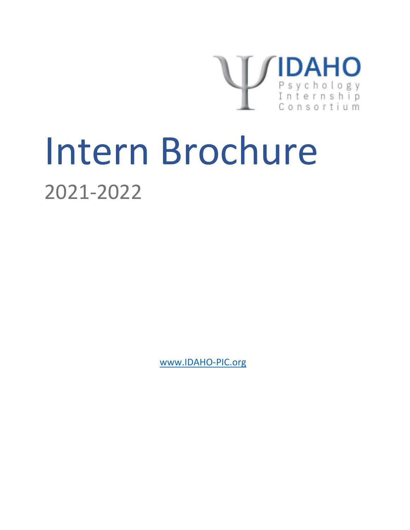

# Intern Brochure 2021-2022

www.IDAHO-PIC.org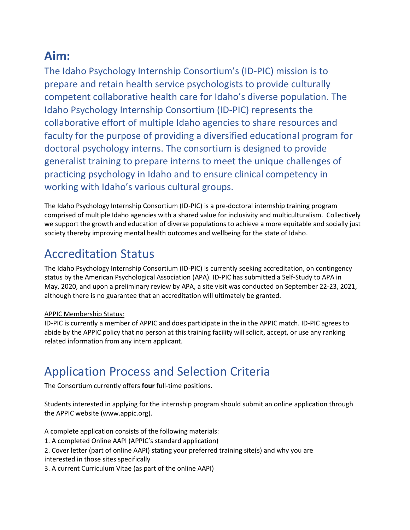# **Aim:**

The Idaho Psychology Internship Consortium's (ID-PIC) mission is to prepare and retain health service psychologists to provide culturally competent collaborative health care for Idaho's diverse population. The Idaho Psychology Internship Consortium (ID-PIC) represents the collaborative effort of multiple Idaho agencies to share resources and faculty for the purpose of providing a diversified educational program for doctoral psychology interns. The consortium is designed to provide generalist training to prepare interns to meet the unique challenges of practicing psychology in Idaho and to ensure clinical competency in working with Idaho's various cultural groups.

The Idaho Psychology Internship Consortium (ID-PIC) is a pre-doctoral internship training program comprised of multiple Idaho agencies with a shared value for inclusivity and multiculturalism. Collectively we support the growth and education of diverse populations to achieve a more equitable and socially just society thereby improving mental health outcomes and wellbeing for the state of Idaho.

# Accreditation Status

The Idaho Psychology Internship Consortium (ID-PIC) is currently seeking accreditation, on contingency status by the American Psychological Association (APA). ID-PIC has submitted a Self-Study to APA in May, 2020, and upon a preliminary review by APA, a site visit was conducted on September 22-23, 2021, although there is no guarantee that an accreditation will ultimately be granted.

## APPIC Membership Status:

ID-PIC is currently a member of APPIC and does participate in the in the APPIC match. ID-PIC agrees to abide by the APPIC policy that no person at this training facility will solicit, accept, or use any ranking related information from any intern applicant.

# Application Process and Selection Criteria

The Consortium currently offers **four** full-time positions.

Students interested in applying for the internship program should submit an online application through the APPIC website (www.appic.org).

A complete application consists of the following materials:

1. A completed Online AAPI (APPIC's standard application)

2. Cover letter (part of online AAPI) stating your preferred training site(s) and why you are interested in those sites specifically

3. A current Curriculum Vitae (as part of the online AAPI)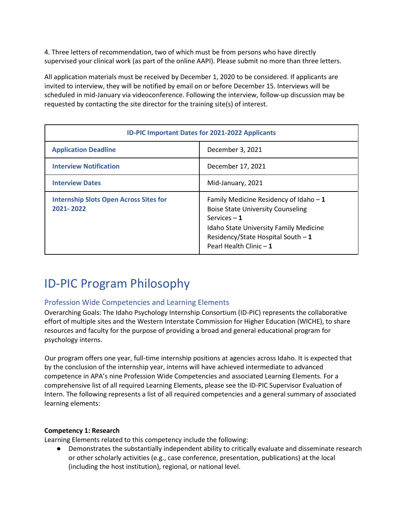4. Three letters of recommendation, two of which must be from persons who have directly supervised your clinical work (as part of the online AAPI). Please submit no more than three letters.

All application materials must be received by December 1, 2020 to be considered. If applicants are invited to interview, they will be notified by email on or before December 15. Interviews will be scheduled in mid-January via videoconference. Following the interview, follow-up discussion may be requested by contacting the site director for the training site(s) of interest.

| <b>ID-PIC Important Dates for 2021-2022 Applicants</b>     |                                                                                                                                                                                                                        |  |
|------------------------------------------------------------|------------------------------------------------------------------------------------------------------------------------------------------------------------------------------------------------------------------------|--|
| <b>Application Deadline</b>                                | December 3, 2021                                                                                                                                                                                                       |  |
| <b>Interview Notification</b>                              | December 17, 2021                                                                                                                                                                                                      |  |
| <b>Interview Dates</b>                                     | Mid-January, 2021                                                                                                                                                                                                      |  |
| <b>Internship Slots Open Across Sites for</b><br>2021-2022 | Family Medicine Residency of Idaho $-1$<br><b>Boise State University Counseling</b><br>Services $-1$<br><b>Idaho State University Family Medicine</b><br>Residency/State Hospital South - 1<br>Pearl Health Clinic - 1 |  |

# ID-PIC Program Philosophy

## Profession Wide Competencies and Learning Elements

Overarching Goals: The Idaho Psychology Internship Consortium (ID-PIC) represents the collaborative effort of multiple sites and the Western Interstate Commission for Higher Education (WICHE), to share resources and faculty for the purpose of providing a broad and general educational program for psychology interns.

Our program offers one year, full-time internship positions at agencies across Idaho. It is expected that by the conclusion of the internship year, interns will have achieved intermediate to advanced competence in APA's nine Profession Wide Competencies and associated Learning Elements. For a comprehensive list of all required Learning Elements, please see the ID-PIC Supervisor Evaluation of Intern. The following represents a list of all required competencies and a general summary of associated learning elements:

#### **Competency 1: Research**

Learning Elements related to this competency include the following:

● Demonstrates the substantially independent ability to critically evaluate and disseminate research or other scholarly activities (e.g., case conference, presentation, publications) at the local (including the host institution), regional, or national level.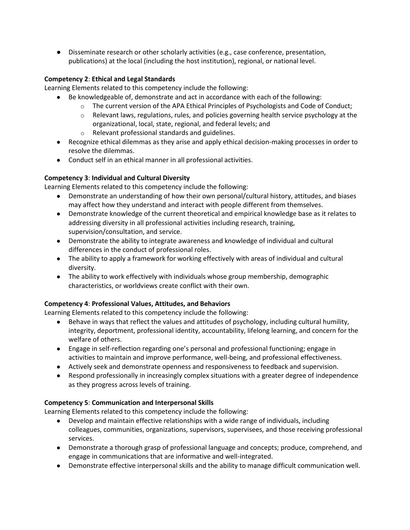● Disseminate research or other scholarly activities (e.g., case conference, presentation, publications) at the local (including the host institution), regional, or national level.

#### **Competency 2**: **Ethical and Legal Standards**

Learning Elements related to this competency include the following:

- Be knowledgeable of, demonstrate and act in accordance with each of the following:
	- o The current version of the APA Ethical Principles of Psychologists and Code of Conduct;
	- $\circ$  Relevant laws, regulations, rules, and policies governing health service psychology at the organizational, local, state, regional, and federal levels; and
	- o Relevant professional standards and guidelines.
- Recognize ethical dilemmas as they arise and apply ethical decision-making processes in order to resolve the dilemmas.
- Conduct self in an ethical manner in all professional activities.

## **Competency 3**: **Individual and Cultural Diversity**

Learning Elements related to this competency include the following:

- Demonstrate an understanding of how their own personal/cultural history, attitudes, and biases may affect how they understand and interact with people different from themselves.
- Demonstrate knowledge of the current theoretical and empirical knowledge base as it relates to addressing diversity in all professional activities including research, training, supervision/consultation, and service.
- Demonstrate the ability to integrate awareness and knowledge of individual and cultural differences in the conduct of professional roles.
- The ability to apply a framework for working effectively with areas of individual and cultural diversity.
- The ability to work effectively with individuals whose group membership, demographic characteristics, or worldviews create conflict with their own.

## **Competency 4**: **Professional Values, Attitudes, and Behaviors**

Learning Elements related to this competency include the following:

- Behave in ways that reflect the values and attitudes of psychology, including cultural humility, integrity, deportment, professional identity, accountability, lifelong learning, and concern for the welfare of others.
- Engage in self-reflection regarding one's personal and professional functioning; engage in activities to maintain and improve performance, well-being, and professional effectiveness.
- Actively seek and demonstrate openness and responsiveness to feedback and supervision.
- Respond professionally in increasingly complex situations with a greater degree of independence as they progress across levels of training.

## **Competency 5**: **Communication and Interpersonal Skills**

Learning Elements related to this competency include the following:

- Develop and maintain effective relationships with a wide range of individuals, including colleagues, communities, organizations, supervisors, supervisees, and those receiving professional services.
- Demonstrate a thorough grasp of professional language and concepts; produce, comprehend, and engage in communications that are informative and well-integrated.
- Demonstrate effective interpersonal skills and the ability to manage difficult communication well.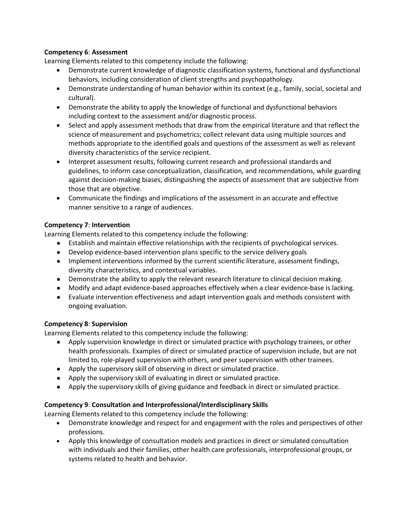#### **Competency 6**: **Assessment**

Learning Elements related to this competency include the following:

- Demonstrate current knowledge of diagnostic classification systems, functional and dysfunctional behaviors, including consideration of client strengths and psychopathology.
- Demonstrate understanding of human behavior within its context (e.g., family, social, societal and cultural).
- Demonstrate the ability to apply the knowledge of functional and dysfunctional behaviors including context to the assessment and/or diagnostic process.
- Select and apply assessment methods that draw from the empirical literature and that reflect the science of measurement and psychometrics; collect relevant data using multiple sources and methods appropriate to the identified goals and questions of the assessment as well as relevant diversity characteristics of the service recipient.
- Interpret assessment results, following current research and professional standards and guidelines, to inform case conceptualization, classification, and recommendations, while guarding against decision-making biases, distinguishing the aspects of assessment that are subjective from those that are objective.
- Communicate the findings and implications of the assessment in an accurate and effective manner sensitive to a range of audiences.

#### **Competency 7**: **Intervention**

Learning Elements related to this competency include the following:

- Establish and maintain effective relationships with the recipients of psychological services.
- Develop evidence-based intervention plans specific to the service delivery goals
- Implement interventions informed by the current scientific literature, assessment findings, diversity characteristics, and contextual variables.
- Demonstrate the ability to apply the relevant research literature to clinical decision making.
- Modify and adapt evidence-based approaches effectively when a clear evidence-base is lacking.
- Evaluate intervention effectiveness and adapt intervention goals and methods consistent with ongoing evaluation.

#### **Competency 8**: **Supervision**

Learning Elements related to this competency include the following:

- Apply supervision knowledge in direct or simulated practice with psychology trainees, or other health professionals. Examples of direct or simulated practice of supervision include, but are not limited to, role-played supervision with others, and peer supervision with other trainees.
- Apply the supervisory skill of observing in direct or simulated practice.
- Apply the supervisory skill of evaluating in direct or simulated practice.
- Apply the supervisory skills of giving guidance and feedback in direct or simulated practice.

#### **Competency 9**: **Consultation and Interprofessional/Interdisciplinary Skills**

Learning Elements related to this competency include the following:

- Demonstrate knowledge and respect for and engagement with the roles and perspectives of other professions.
- Apply this knowledge of consultation models and practices in direct or simulated consultation with individuals and their families, other health care professionals, interprofessional groups, or systems related to health and behavior.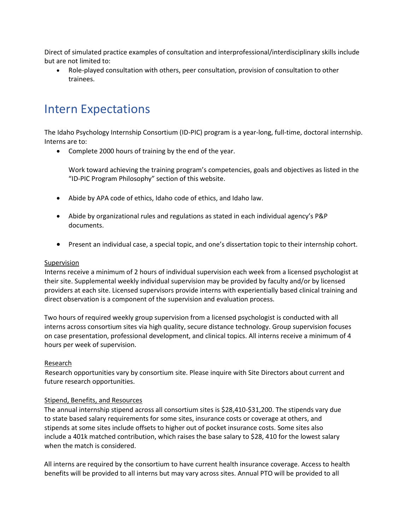Direct of simulated practice examples of consultation and interprofessional/interdisciplinary skills include but are not limited to:

• Role-played consultation with others, peer consultation, provision of consultation to other trainees.

# Intern Expectations

The Idaho Psychology Internship Consortium (ID-PIC) program is a year-long, full-time, doctoral internship. Interns are to:

• Complete 2000 hours of training by the end of the year.

Work toward achieving the training program's competencies, goals and objectives as listed in the "ID-PIC Program Philosophy" section of this website.

- Abide by APA code of ethics, Idaho code of ethics, and Idaho law.
- Abide by organizational rules and regulations as stated in each individual agency's P&P documents.
- Present an individual case, a special topic, and one's dissertation topic to their internship cohort.

#### Supervision

Interns receive a minimum of 2 hours of individual supervision each week from a licensed psychologist at their site. Supplemental weekly individual supervision may be provided by faculty and/or by licensed providers at each site. Licensed supervisors provide interns with experientially based clinical training and direct observation is a component of the supervision and evaluation process.

Two hours of required weekly group supervision from a licensed psychologist is conducted with all interns across consortium sites via high quality, secure distance technology. Group supervision focuses on case presentation, professional development, and clinical topics. All interns receive a minimum of 4 hours per week of supervision.

#### Research

Research opportunities vary by consortium site. Please inquire with Site Directors about current and future research opportunities.

#### Stipend, Benefits, and Resources

The annual internship stipend across all consortium sites is \$28,410-\$31,200. The stipends vary due to state based salary requirements for some sites, insurance costs or coverage at others, and stipends at some sites include offsets to higher out of pocket insurance costs. Some sites also include a 401k matched contribution, which raises the base salary to \$28, 410 for the lowest salary when the match is considered.

All interns are required by the consortium to have current health insurance coverage. Access to health benefits will be provided to all interns but may vary across sites. Annual PTO will be provided to all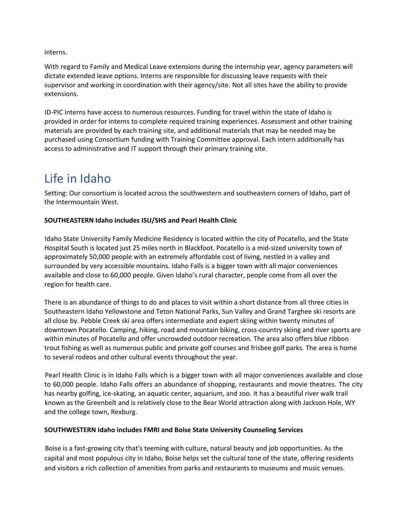interns.

With regard to Family and Medical Leave extensions during the internship year, agency parameters will dictate extended leave options. Interns are responsible for discussing leave requests with their supervisor and working in coordination with their agency/site. Not all sites have the ability to provide extensions.

ID-PIC interns have access to numerous resources. Funding for travel within the state of Idaho is provided in order for interns to complete required training experiences. Assessment and other training materials are provided by each training site, and additional materials that may be needed may be purchased using Consortium funding with Training Committee approval. Each intern additionally has access to administrative and IT support through their primary training site.

# Life in Idaho

Setting: Our consortium is located across the southwestern and southeastern corners of Idaho, part of the Intermountain West.

#### **SOUTHEASTERN Idaho includes ISU/SHS and Pearl Health Clinic**

Idaho State University Family Medicine Residency is located within the city of Pocatello, and the State Hospital South is located just 25 miles north in Blackfoot. Pocatello is a mid-sized university town of approximately 50,000 people with an extremely affordable cost of living, nestled in a valley and surrounded by very accessible mountains. Idaho Falls is a bigger town with all major conveniences available and close to 60,000 people. Given Idaho's rural character, people come from all over the region for health care.

There is an abundance of things to do and places to visit within a short distance from all three cities in Southeastern Idaho Yellowstone and Teton National Parks, Sun Valley and Grand Targhee ski resorts are all close by. Pebble Creek ski area offers intermediate and expert skiing within twenty minutes of downtown Pocatello. Camping, hiking, road and mountain biking, cross-country skiing and river sports are within minutes of Pocatello and offer uncrowded outdoor recreation. The area also offers blue ribbon trout fishing as well as numerous public and private golf courses and frisbee golf parks. The area is home to several rodeos and other cultural events throughout the year.

Pearl Health Clinic is in Idaho Falls which is a bigger town with all major conveniences available and close to 60,000 people. Idaho Falls offers an abundance of shopping, restaurants and movie theatres. The city has nearby golfing, ice-skating, an aquatic center, aquarium, and zoo. It has a beautiful river walk trail known as the Greenbelt and is relatively close to the Bear World attraction along with Jackson Hole, WY and the college town, Rexburg.

#### **SOUTHWESTERN Idaho includes FMRI and Boise State University Counseling Services**

Boise is a fast-growing city that's teeming with culture, natural beauty and job opportunities. As the capital and most populous city in Idaho, Boise helps set the cultural tone of the state, offering residents and visitors a rich collection of amenities from parks and restaurants to museums and music venues.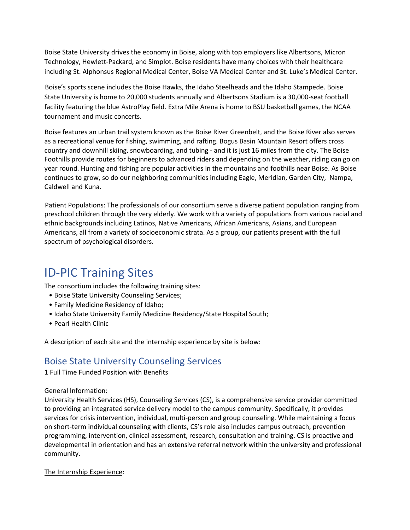Boise State University drives the economy in Boise, along with top employers like Albertsons, Micron Technology, Hewlett-Packard, and Simplot. Boise residents have many choices with their healthcare including St. Alphonsus Regional Medical Center, Boise VA Medical Center and St. Luke's Medical Center.

Boise's sports scene includes the Boise Hawks, the Idaho Steelheads and the Idaho Stampede. Boise State University is home to 20,000 students annually and Albertsons Stadium is a 30,000-seat football facility featuring the blue AstroPlay field. Extra Mile Arena is home to BSU basketball games, the NCAA tournament and music concerts.

Boise features an urban trail system known as the Boise River Greenbelt, and the Boise River also serves as a recreational venue for fishing, swimming, and rafting. Bogus Basin Mountain Resort offers cross country and downhill skiing, snowboarding, and tubing - and it is just 16 miles from the city. The Boise Foothills provide routes for beginners to advanced riders and depending on the weather, riding can go on year round. Hunting and fishing are popular activities in the mountains and foothills near Boise. As Boise continues to grow, so do our neighboring communities including Eagle, Meridian, Garden City, Nampa, Caldwell and Kuna.

Patient Populations: The professionals of our consortium serve a diverse patient population ranging from preschool children through the very elderly. We work with a variety of populations from various racial and ethnic backgrounds including Latinos, Native Americans, African Americans, Asians, and European Americans, all from a variety of socioeconomic strata. As a group, our patients present with the full spectrum of psychological disorders.

# ID-PIC Training Sites

The consortium includes the following training sites:

- Boise State University Counseling Services;
- Family Medicine Residency of Idaho;
- Idaho State University Family Medicine Residency/State Hospital South;
- Pearl Health Clinic

A description of each site and the internship experience by site is below:

# Boise State University Counseling Services

1 Full Time Funded Position with Benefits

#### General Information:

University Health Services (HS), Counseling Services (CS), is a comprehensive service provider committed to providing an integrated service delivery model to the campus community. Specifically, it provides services for crisis intervention, individual, multi-person and group counseling. While maintaining a focus on short-term individual counseling with clients, CS's role also includes campus outreach, prevention programming, intervention, clinical assessment, research, consultation and training. CS is proactive and developmental in orientation and has an extensive referral network within the university and professional community.

#### The Internship Experience: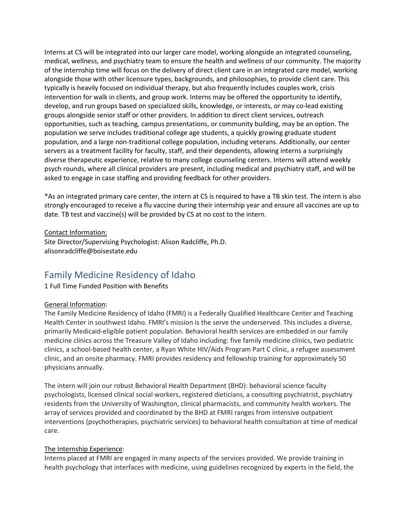Interns at CS will be integrated into our larger care model, working alongside an integrated counseling, medical, wellness, and psychiatry team to ensure the health and wellness of our community. The majority of the internship time will focus on the delivery of direct client care in an integrated care model, working alongside those with other licensure types, backgrounds, and philosophies, to provide client care. This typically is heavily focused on individual therapy, but also frequently includes couples work, crisis intervention for walk in clients, and group work. Interns may be offered the opportunity to identify, develop, and run groups based on specialized skills, knowledge, or interests, or may co-lead existing groups alongside senior staff or other providers. In addition to direct client services, outreach opportunities, such as teaching, campus presentations, or community building, may be an option. The population we serve includes traditional college age students, a quickly growing graduate student population, and a large non-traditional college population, including veterans. Additionally, our center servers as a treatment facility for faculty, staff, and their dependents, allowing interns a surprisingly diverse therapeutic experience, relative to many college counseling centers. Interns will attend weekly psych rounds, where all clinical providers are present, including medical and psychiatry staff, and will be asked to engage in case staffing and providing feedback for other providers.

\*As an integrated primary care center, the intern at CS is required to have a TB skin test. The intern is also strongly encouraged to receive a flu vaccine during their internship year and ensure all vaccines are up to date. TB test and vaccine(s) will be provided by CS at no cost to the intern.

#### Contact Information:

Site Director/Supervising Psychologist: Alison Radcliffe, Ph.D. alisonradcliffe@boisestate.edu

# Family Medicine Residency of Idaho

#### 1 Full Time Funded Position with Benefits

#### General Information:

The Family Medicine Residency of Idaho (FMRI) is a Federally Qualified Healthcare Center and Teaching Health Center in southwest Idaho. FMRI's mission is the serve the underserved. This includes a diverse, primarily Medicaid-eligible patient population. Behavioral health services are embedded in our family medicine clinics across the Treasure Valley of Idaho including: five family medicine clinics, two pediatric clinics, a school-based health center, a Ryan White HIV/Aids Program Part C clinic, a refugee assessment clinic, and an onsite pharmacy. FMRI provides residency and fellowship training for approximately 50 physicians annually.

The intern will join our robust Behavioral Health Department (BHD): behavioral science faculty psychologists, licensed clinical social workers, registered dieticians, a consulting psychiatrist, psychiatry residents from the University of Washington, clinical pharmacists, and community health workers. The array of services provided and coordinated by the BHD at FMRI ranges from intensive outpatient interventions (psychotherapies, psychiatric services) to behavioral health consultation at time of medical care.

#### The Internship Experience:

Interns placed at FMRI are engaged in many aspects of the services provided. We provide training in health psychology that interfaces with medicine, using guidelines recognized by experts in the field, the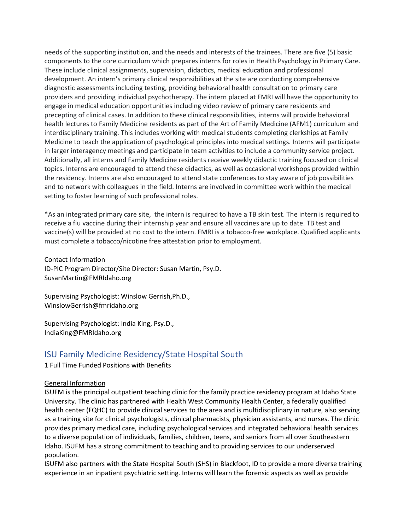needs of the supporting institution, and the needs and interests of the trainees. There are five (5) basic components to the core curriculum which prepares interns for roles in Health Psychology in Primary Care. These include clinical assignments, supervision, didactics, medical education and professional development. An intern's primary clinical responsibilities at the site are conducting comprehensive diagnostic assessments including testing, providing behavioral health consultation to primary care providers and providing individual psychotherapy. The intern placed at FMRI will have the opportunity to engage in medical education opportunities including video review of primary care residents and precepting of clinical cases. In addition to these clinical responsibilities, interns will provide behavioral health lectures to Family Medicine residents as part of the Art of Family Medicine (AFM1) curriculum and interdisciplinary training. This includes working with medical students completing clerkships at Family Medicine to teach the application of psychological principles into medical settings. Interns will participate in larger interagency meetings and participate in team activities to include a community service project. Additionally, all interns and Family Medicine residents receive weekly didactic training focused on clinical topics. Interns are encouraged to attend these didactics, as well as occasional workshops provided within the residency. Interns are also encouraged to attend state conferences to stay aware of job possibilities and to network with colleagues in the field. Interns are involved in committee work within the medical setting to foster learning of such professional roles.

\*As an integrated primary care site, the intern is required to have a TB skin test. The intern is required to receive a flu vaccine during their internship year and ensure all vaccines are up to date. TB test and vaccine(s) will be provided at no cost to the intern. FMRI is a tobacco-free workplace. Qualified applicants must complete a tobacco/nicotine free attestation prior to employment.

#### Contact Information

ID-PIC Program Director/Site Director: Susan Martin, Psy.D. SusanMartin@FMRIdaho.org

Supervising Psychologist: Winslow Gerrish,Ph.D., WinslowGerrish@fmridaho.org

Supervising Psychologist: India King, Psy.D., IndiaKing@FMRIdaho.org

## ISU Family Medicine Residency/State Hospital South

1 Full Time Funded Positions with Benefits

#### General Information

ISUFM is the principal outpatient teaching clinic for the family practice residency program at Idaho State University. The clinic has partnered with Health West Community Health Center, a federally qualified health center (FQHC) to provide clinical services to the area and is multidisciplinary in nature, also serving as a training site for clinical psychologists, clinical pharmacists, physician assistants, and nurses. The clinic provides primary medical care, including psychological services and integrated behavioral health services to a diverse population of individuals, families, children, teens, and seniors from all over Southeastern Idaho. ISUFM has a strong commitment to teaching and to providing services to our underserved population.

ISUFM also partners with the State Hospital South (SHS) in Blackfoot, ID to provide a more diverse training experience in an inpatient psychiatric setting. Interns will learn the forensic aspects as well as provide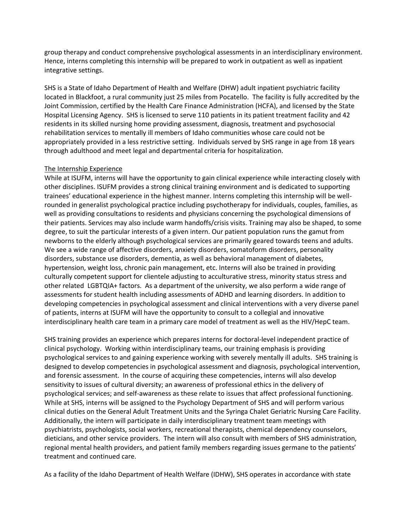group therapy and conduct comprehensive psychological assessments in an interdisciplinary environment. Hence, interns completing this internship will be prepared to work in outpatient as well as inpatient integrative settings.

SHS is a State of Idaho Department of Health and Welfare (DHW) adult inpatient psychiatric facility located in Blackfoot, a rural community just 25 miles from Pocatello. The facility is fully accredited by the Joint Commission, certified by the Health Care Finance Administration (HCFA), and licensed by the State Hospital Licensing Agency. SHS is licensed to serve 110 patients in its patient treatment facility and 42 residents in its skilled nursing home providing assessment, diagnosis, treatment and psychosocial rehabilitation services to mentally ill members of Idaho communities whose care could not be appropriately provided in a less restrictive setting. Individuals served by SHS range in age from 18 years through adulthood and meet legal and departmental criteria for hospitalization.

#### The Internship Experience

While at ISUFM, interns will have the opportunity to gain clinical experience while interacting closely with other disciplines. ISUFM provides a strong clinical training environment and is dedicated to supporting trainees' educational experience in the highest manner. Interns completing this internship will be wellrounded in generalist psychological practice including psychotherapy for individuals, couples, families, as well as providing consultations to residents and physicians concerning the psychological dimensions of their patients. Services may also include warm handoffs/crisis visits. Training may also be shaped, to some degree, to suit the particular interests of a given intern. Our patient population runs the gamut from newborns to the elderly although psychological services are primarily geared towards teens and adults. We see a wide range of affective disorders, anxiety disorders, somatoform disorders, personality disorders, substance use disorders, dementia, as well as behavioral management of diabetes, hypertension, weight loss, chronic pain management, etc. Interns will also be trained in providing culturally competent support for clientele adjusting to acculturative stress, minority status stress and other related LGBTQIA+ factors. As a department of the university, we also perform a wide range of assessments for student health including assessments of ADHD and learning disorders. In addition to developing competencies in psychological assessment and clinical interventions with a very diverse panel of patients, interns at ISUFM will have the opportunity to consult to a collegial and innovative interdisciplinary health care team in a primary care model of treatment as well as the HIV/HepC team.

SHS training provides an experience which prepares interns for doctoral-level independent practice of clinical psychology. Working within interdisciplinary teams, our training emphasis is providing psychological services to and gaining experience working with severely mentally ill adults. SHS training is designed to develop competencies in psychological assessment and diagnosis, psychological intervention, and forensic assessment. In the course of acquiring these competencies, interns will also develop sensitivity to issues of cultural diversity; an awareness of professional ethics in the delivery of psychological services; and self-awareness as these relate to issues that affect professional functioning. While at SHS, interns will be assigned to the Psychology Department of SHS and will perform various clinical duties on the General Adult Treatment Units and the Syringa Chalet Geriatric Nursing Care Facility. Additionally, the intern will participate in daily interdisciplinary treatment team meetings with psychiatrists, psychologists, social workers, recreational therapists, chemical dependency counselors, dieticians, and other service providers. The intern will also consult with members of SHS administration, regional mental health providers, and patient family members regarding issues germane to the patients' treatment and continued care.

As a facility of the Idaho Department of Health Welfare (IDHW), SHS operates in accordance with state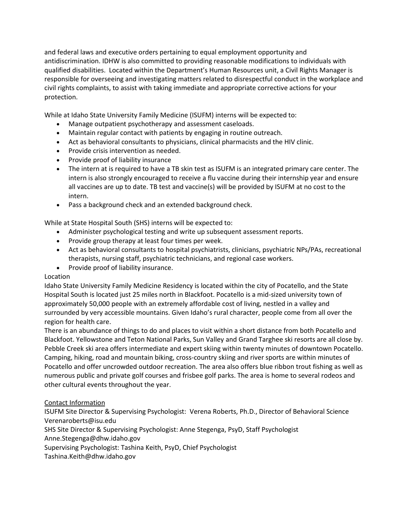and federal laws and executive orders pertaining to equal employment opportunity and antidiscrimination. IDHW is also committed to providing reasonable modifications to individuals with qualified disabilities. Located within the Department's Human Resources unit, a Civil Rights Manager is responsible for overseeing and investigating matters related to disrespectful conduct in the workplace and civil rights complaints, to assist with taking immediate and appropriate corrective actions for your protection.

While at Idaho State University Family Medicine (ISUFM) interns will be expected to:

- Manage outpatient psychotherapy and assessment caseloads.
- Maintain regular contact with patients by engaging in routine outreach.
- Act as behavioral consultants to physicians, clinical pharmacists and the HIV clinic.
- Provide crisis intervention as needed.
- Provide proof of liability insurance
- The intern at is required to have a TB skin test as ISUFM is an integrated primary care center. The intern is also strongly encouraged to receive a flu vaccine during their internship year and ensure all vaccines are up to date. TB test and vaccine(s) will be provided by ISUFM at no cost to the intern.
- Pass a background check and an extended background check.

While at State Hospital South (SHS) interns will be expected to:

- Administer psychological testing and write up subsequent assessment reports.
- Provide group therapy at least four times per week.
- Act as behavioral consultants to hospital psychiatrists, clinicians, psychiatric NPs/PAs, recreational therapists, nursing staff, psychiatric technicians, and regional case workers.
- Provide proof of liability insurance.

#### Location

Idaho State University Family Medicine Residency is located within the city of Pocatello, and the State Hospital South is located just 25 miles north in Blackfoot. Pocatello is a mid-sized university town of approximately 50,000 people with an extremely affordable cost of living, nestled in a valley and surrounded by very accessible mountains. Given Idaho's rural character, people come from all over the region for health care.

There is an abundance of things to do and places to visit within a short distance from both Pocatello and Blackfoot. Yellowstone and Teton National Parks, Sun Valley and Grand Targhee ski resorts are all close by. Pebble Creek ski area offers intermediate and expert skiing within twenty minutes of downtown Pocatello. Camping, hiking, road and mountain biking, cross-country skiing and river sports are within minutes of Pocatello and offer uncrowded outdoor recreation. The area also offers blue ribbon trout fishing as well as numerous public and private golf courses and frisbee golf parks. The area is home to several rodeos and other cultural events throughout the year.

#### Contact Information

ISUFM Site Director & Supervising Psychologist: Verena Roberts, Ph.D., Director of Behavioral Science Verenaroberts@isu.edu

SHS Site Director & Supervising Psychologist: Anne Stegenga, PsyD, Staff Psychologist

Anne.Stegenga@dhw.idaho.gov

Supervising Psychologist: Tashina Keith, PsyD, Chief Psychologist

Tashina.Keith@dhw.idaho.gov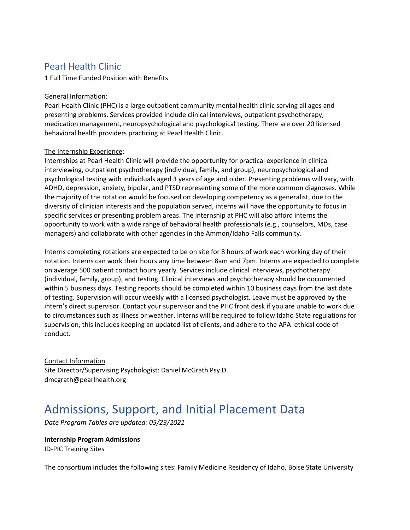# Pearl Health Clinic

1 Full Time Funded Position with Benefits

#### General Information:

Pearl Health Clinic (PHC) is a large outpatient community mental health clinic serving all ages and presenting problems. Services provided include clinical interviews, outpatient psychotherapy, medication management, neuropsychological and psychological testing. There are over 20 licensed behavioral health providers practicing at Pearl Health Clinic.

#### The Internship Experience:

Internships at Pearl Health Clinic will provide the opportunity for practical experience in clinical interviewing, outpatient psychotherapy (individual, family, and group), neuropsychological and psychological testing with individuals aged 3 years of age and older. Presenting problems will vary, with ADHD, depression, anxiety, bipolar, and PTSD representing some of the more common diagnoses. While the majority of the rotation would be focused on developing competency as a generalist, due to the diversity of clinician interests and the population served, interns will have the opportunity to focus in specific services or presenting problem areas. The internship at PHC will also afford interns the opportunity to work with a wide range of behavioral health professionals (e.g., counselors, MDs, case managers) and collaborate with other agencies in the Ammon/Idaho Falls community.

Interns completing rotations are expected to be on site for 8 hours of work each working day of their rotation. Interns can work their hours any time between 8am and 7pm. Interns are expected to complete on average 500 patient contact hours yearly. Services include clinical interviews, psychotherapy (individual, family, group), and testing. Clinical interviews and psychotherapy should be documented within 5 business days. Testing reports should be completed within 10 business days from the last date of testing. Supervision will occur weekly with a licensed psychologist. Leave must be approved by the intern's direct supervisor. Contact your supervisor and the PHC front desk if you are unable to work due to circumstances such as illness or weather. Interns will be required to follow Idaho State regulations for supervision, this includes keeping an updated list of clients, and adhere to the APA ethical code of conduct.

Contact Information Site Director/Supervising Psychologist: Daniel McGrath Psy.D. dmcgrath@pearlhealth.org

# Admissions, Support, and Initial Placement Data

*Date Program Tables are updated: 05/23/2021*

**Internship Program Admissions**  ID-PIC Training Sites

The consortium includes the following sites: Family Medicine Residency of Idaho, Boise State University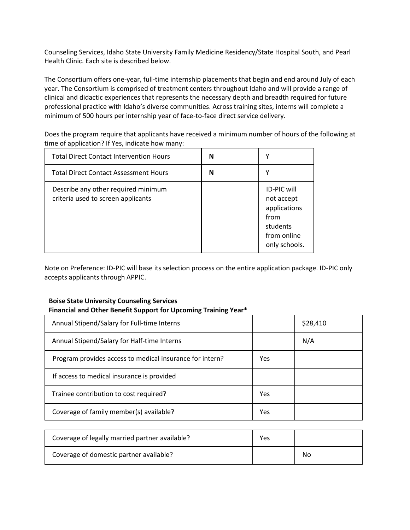Counseling Services, Idaho State University Family Medicine Residency/State Hospital South, and Pearl Health Clinic. Each site is described below.

The Consortium offers one-year, full-time internship placements that begin and end around July of each year. The Consortium is comprised of treatment centers throughout Idaho and will provide a range of clinical and didactic experiences that represents the necessary depth and breadth required for future professional practice with Idaho's diverse communities. Across training sites, interns will complete a minimum of 500 hours per internship year of face-to-face direct service delivery.

Does the program require that applicants have received a minimum number of hours of the following at time of application? If Yes, indicate how many:

| <b>Total Direct Contact Intervention Hours</b>                            | N | v                                                                                                    |
|---------------------------------------------------------------------------|---|------------------------------------------------------------------------------------------------------|
| <b>Total Direct Contact Assessment Hours</b>                              | N |                                                                                                      |
| Describe any other required minimum<br>criteria used to screen applicants |   | <b>ID-PIC will</b><br>not accept<br>applications<br>from<br>students<br>from online<br>only schools. |

Note on Preference: ID-PIC will base its selection process on the entire application package. ID-PIC only accepts applicants through APPIC.

## **Boise State University Counseling Services Financial and Other Benefit Support for Upcoming Training Year\***

| Annual Stipend/Salary for Full-time Interns              |     | \$28,410 |
|----------------------------------------------------------|-----|----------|
| Annual Stipend/Salary for Half-time Interns              |     | N/A      |
| Program provides access to medical insurance for intern? | Yes |          |
| If access to medical insurance is provided               |     |          |
| Trainee contribution to cost required?                   | Yes |          |
| Coverage of family member(s) available?                  | Yes |          |
|                                                          |     |          |

| Coverage of legally married partner available? | Yes |    |
|------------------------------------------------|-----|----|
| Coverage of domestic partner available?        |     | No |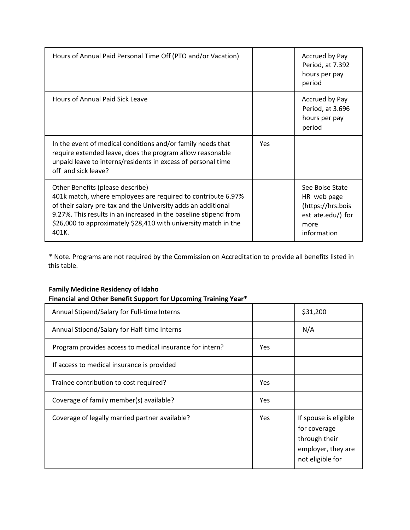| Hours of Annual Paid Personal Time Off (PTO and/or Vacation)                                                                                                                                                                                                                                                      |     | Accrued by Pay<br>Period, at 7.392<br>hours per pay<br>period                                   |
|-------------------------------------------------------------------------------------------------------------------------------------------------------------------------------------------------------------------------------------------------------------------------------------------------------------------|-----|-------------------------------------------------------------------------------------------------|
| Hours of Annual Paid Sick Leave                                                                                                                                                                                                                                                                                   |     | Accrued by Pay<br>Period, at 3.696<br>hours per pay<br>period                                   |
| In the event of medical conditions and/or family needs that<br>require extended leave, does the program allow reasonable<br>unpaid leave to interns/residents in excess of personal time<br>off and sick leave?                                                                                                   | Yes |                                                                                                 |
| Other Benefits (please describe)<br>401k match, where employees are required to contribute 6.97%<br>of their salary pre-tax and the University adds an additional<br>9.27%. This results in an increased in the baseline stipend from<br>\$26,000 to approximately \$28,410 with university match in the<br>401K. |     | See Boise State<br>HR web page<br>(https://hrs.bois<br>est ate.edu/) for<br>more<br>information |

\* Note. Programs are not required by the Commission on Accreditation to provide all benefits listed in this table.

## **Family Medicine Residency of Idaho Financial and Other Benefit Support for Upcoming Training Year\***

| Annual Stipend/Salary for Full-time Interns              |            | \$31,200                                                                                         |
|----------------------------------------------------------|------------|--------------------------------------------------------------------------------------------------|
| Annual Stipend/Salary for Half-time Interns              |            | N/A                                                                                              |
| Program provides access to medical insurance for intern? | Yes        |                                                                                                  |
| If access to medical insurance is provided               |            |                                                                                                  |
| Trainee contribution to cost required?                   | Yes        |                                                                                                  |
| Coverage of family member(s) available?                  | Yes        |                                                                                                  |
| Coverage of legally married partner available?           | <b>Yes</b> | If spouse is eligible<br>for coverage<br>through their<br>employer, they are<br>not eligible for |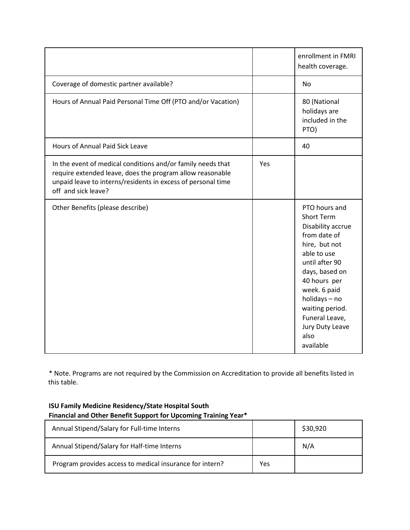|                                                                                                                                                                                                                 |     | enrollment in FMRI<br>health coverage.                                                                                                                                                                                                                                    |
|-----------------------------------------------------------------------------------------------------------------------------------------------------------------------------------------------------------------|-----|---------------------------------------------------------------------------------------------------------------------------------------------------------------------------------------------------------------------------------------------------------------------------|
| Coverage of domestic partner available?                                                                                                                                                                         |     | No                                                                                                                                                                                                                                                                        |
| Hours of Annual Paid Personal Time Off (PTO and/or Vacation)                                                                                                                                                    |     | 80 (National<br>holidays are<br>included in the<br>PTO)                                                                                                                                                                                                                   |
| <b>Hours of Annual Paid Sick Leave</b>                                                                                                                                                                          |     | 40                                                                                                                                                                                                                                                                        |
| In the event of medical conditions and/or family needs that<br>require extended leave, does the program allow reasonable<br>unpaid leave to interns/residents in excess of personal time<br>off and sick leave? | Yes |                                                                                                                                                                                                                                                                           |
| Other Benefits (please describe)                                                                                                                                                                                |     | PTO hours and<br><b>Short Term</b><br>Disability accrue<br>from date of<br>hire, but not<br>able to use<br>until after 90<br>days, based on<br>40 hours per<br>week. 6 paid<br>holidays - no<br>waiting period.<br>Funeral Leave,<br>Jury Duty Leave<br>also<br>available |

\* Note. Programs are not required by the Commission on Accreditation to provide all benefits listed in this table.

## **ISU Family Medicine Residency/State Hospital South Financial and Other Benefit Support for Upcoming Training Year\***

| Annual Stipend/Salary for Full-time Interns              |     | \$30,920 |
|----------------------------------------------------------|-----|----------|
| Annual Stipend/Salary for Half-time Interns              |     | N/A      |
| Program provides access to medical insurance for intern? | Yes |          |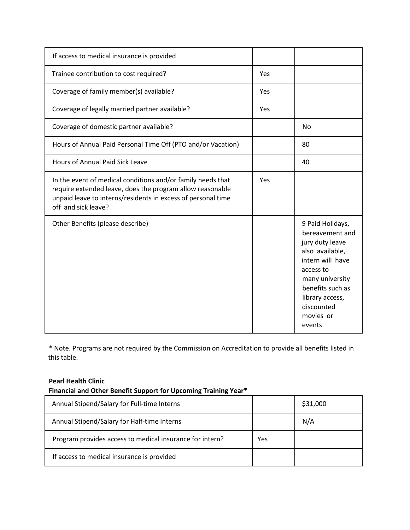| If access to medical insurance is provided                                                                                                                                                                      |     |                                                                                                                                                                                                           |
|-----------------------------------------------------------------------------------------------------------------------------------------------------------------------------------------------------------------|-----|-----------------------------------------------------------------------------------------------------------------------------------------------------------------------------------------------------------|
| Trainee contribution to cost required?                                                                                                                                                                          | Yes |                                                                                                                                                                                                           |
| Coverage of family member(s) available?                                                                                                                                                                         | Yes |                                                                                                                                                                                                           |
| Coverage of legally married partner available?                                                                                                                                                                  | Yes |                                                                                                                                                                                                           |
| Coverage of domestic partner available?                                                                                                                                                                         |     | <b>No</b>                                                                                                                                                                                                 |
| Hours of Annual Paid Personal Time Off (PTO and/or Vacation)                                                                                                                                                    |     | 80                                                                                                                                                                                                        |
| <b>Hours of Annual Paid Sick Leave</b>                                                                                                                                                                          |     | 40                                                                                                                                                                                                        |
| In the event of medical conditions and/or family needs that<br>require extended leave, does the program allow reasonable<br>unpaid leave to interns/residents in excess of personal time<br>off and sick leave? | Yes |                                                                                                                                                                                                           |
| Other Benefits (please describe)                                                                                                                                                                                |     | 9 Paid Holidays,<br>bereavement and<br>jury duty leave<br>also available,<br>intern will have<br>access to<br>many university<br>benefits such as<br>library access,<br>discounted<br>movies or<br>events |

\* Note. Programs are not required by the Commission on Accreditation to provide all benefits listed in this table.

#### **Pearl Health Clinic**

## **Financial and Other Benefit Support for Upcoming Training Year\***

| Annual Stipend/Salary for Full-time Interns              |     | \$31,000 |
|----------------------------------------------------------|-----|----------|
| Annual Stipend/Salary for Half-time Interns              |     | N/A      |
| Program provides access to medical insurance for intern? | Yes |          |
| If access to medical insurance is provided               |     |          |